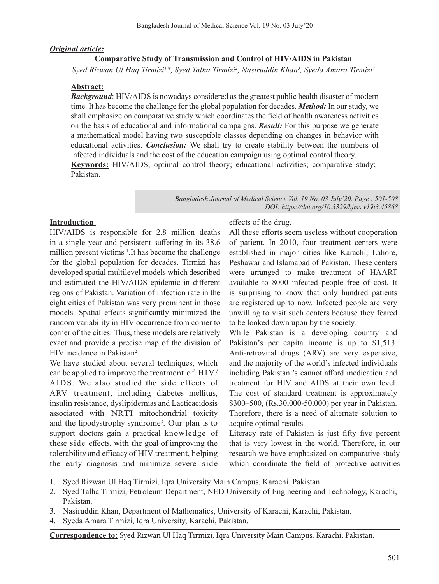# *Original article:*

# **Comparative Study of Transmission and Control of HIV/AIDS in Pakistan**

Syed Rizwan Ul Haq Tirmizi<sup>1\*</sup>, Syed Talha Tirmizi<sup>2</sup>, Nasiruddin Khan<sup>3</sup>, Syeda Amara Tirmizi<sup>4</sup>

# **Abstract:**

**Background:** HIV/AIDS is nowadays considered as the greatest public health disaster of modern time. It has become the challenge for the global population for decades. *Method:* In our study, we shall emphasize on comparative study which coordinates the field of health awareness activities on the basis of educational and informational campaigns. *Result:* For this purpose we generate a mathematical model having two susceptible classes depending on changes in behavior with educational activities. *Conclusion:* We shall try to create stability between the numbers of infected individuals and the cost of the education campaign using optimal control theory. **Keywords:** HIV/AIDS; optimal control theory; educational activities; comparative study; Pakistan.

> *Bangladesh Journal of Medical Science Vol. 19 No. 03 July'20. Page : 501-508 DOI: https://doi.org/10.3329/bjms.v19i3.45868*

# **Introduction**

HIV/AIDS is responsible for 2.8 million deaths in a single year and persistent suffering in its 38.6 million present victims <sup>1</sup>. It has become the challenge for the global population for decades. Tirmizi has developed spatial multilevel models which described and estimated the HIV/AIDS epidemic in different regions of Pakistan. Variation of infection rate in the eight cities of Pakistan was very prominent in those models. Spatial effects significantly minimized the random variability in HIV occurrence from corner to corner of the cities. Thus, these models are relatively exact and provide a precise map of the division of HIV incidence in Pakistan<sup>2</sup>.

We have studied about several techniques, which can be applied to improve the treatment of  $HIV/$ AIDS. We also studied the side effects of ARV treatment, including diabetes mellitus, insulin resistance, dyslipidemias and Lacticacidosis associated with NRTI mitochondrial toxicity and the lipodystrophy syndrome<sup>3</sup>. Our plan is to support doctors gain a practical knowledge of these side effects, with the goal of improving the tolerability and efficacy of HIV treatment, helping the early diagnosis and minimize severe side

# effects of the drug.

All these efforts seem useless without cooperation of patient. In 2010, four treatment centers were established in major cities like Karachi, Lahore, Peshawar and Islamabad of Pakistan. These centers were arranged to make treatment of HAART available to 8000 infected people free of cost. It is surprising to know that only hundred patients are registered up to now. Infected people are very unwilling to visit such centers because they feared to be looked down upon by the society.

While Pakistan is a developing country and Pakistan's per capita income is up to \$1,513. Anti-retroviral drugs (ARV) are very expensive, and the majority of the world's infected individuals including Pakistani's cannot afford medication and treatment for HIV and AIDS at their own level. The cost of standard treatment is approximately \$300–500, (Rs.30,000-50,000) per year in Pakistan. Therefore, there is a need of alternate solution to acquire optimal results.

Literacy rate of Pakistan is just fifty five percent that is very lowest in the world. Therefore, in our research we have emphasized on comparative study which coordinate the field of protective activities

- 1. Syed Rizwan Ul Haq Tirmizi, Iqra University Main Campus, Karachi, Pakistan.
- 2. Syed Talha Tirmizi, Petroleum Department, NED University of Engineering and Technology, Karachi, Pakistan.
- 3. Nasiruddin Khan, Department of Mathematics, University of Karachi, Karachi, Pakistan.
- 4. Syeda Amara Tirmizi, Iqra University, Karachi, Pakistan.

**Correspondence to:** Syed Rizwan Ul Haq Tirmizi, Iqra University Main Campus, Karachi, Pakistan.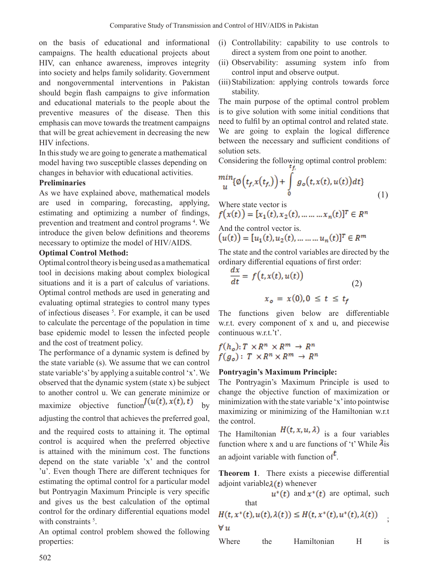on the basis of educational and informational campaigns. The health educational projects about HIV, can enhance awareness, improves integrity into society and helps family solidarity. Government and nongovernmental interventions in Pakistan should begin flash campaigns to give information and educational materials to the people about the preventive measures of the disease. Then this emphasis can move towards the treatment campaigns that will be great achievement in decreasing the new HIV infections.

In thisstudy we are going to generate a mathematical model having two susceptible classes depending on changes in behavior with educational activities.

# **Preliminaries**

As we have explained above, mathematical models are used in comparing, forecasting, applying, estimating and optimizing a number of findings, prevention and treatment and control programs<sup>4</sup>. We introduce the given below definitions and theorems necessary to optimize the model of HIV/AIDS.

# **Optimal Control Method:**

Optimal control theory is being used as a mathematical tool in decisions making about complex biological situations and it is a part of calculus of variations. Optimal control methods are used in generating and evaluating optimal strategies to control many types of infectious diseases <sup>5</sup>. For example, it can be used to calculate the percentage of the population in time base epidemic model to lessen the infected people and the cost of treatment policy.

The performance of a dynamic system is defined by the state variable (s). We assume that we can control state variable's'by applying a suitable control 'x'. We observed that the dynamic system (state x) be subject to another control u. We can generate minimize or maximize objective function  $J(u(t),x(t),t)$  by

adjusting the control that achieves the preferred goal,

and the required costs to attaining it. The optimal control is acquired when the preferred objective is attained with the minimum cost. The functions depend on the state variable 'x' and the control 'u'. Even though There are different techniques for estimating the optimal control for a particular model but Pontryagin Maximum Principle is very specific and gives us the best calculation of the optimal control for the ordinary differential equations model with constraints<sup>5</sup>.

An optimal control problem showed the following properties:

- (i) Controllability: capability to use controls to direct a system from one point to another.
- (ii) Observability: assuming system info from control input and observe output.
- (iii) Stabilization: applying controls towards force stability.

The main purpose of the optimal control problem is to give solution with some initial conditions that need to fulfil by an optimal control and related state. We are going to explain the logical difference between the necessary and sufficient conditions of solution sets.

Considering the following optimal control problem:

$$
\begin{aligned}\n\min_{u} \{ \varphi \left( t_f, x(t_f) \right) + \int_{0}^{t'} g_o \left( t, x(t), u(t) \right) dt \} \\
\text{Where state vector is}\n\end{aligned} \tag{1}
$$

where state vector is  

$$
f(x(t)) = [x_1(t), x_2(t), \dots, x_n(t)]^T \in R^n
$$

And the control vector is.<br>  $(u(t)) = [u_1(t), u_2(t), \dots \dots \dots u_n(t)]^T \in R^m$ 

The state and the control variables are directed by the ordinary differential equations of first order:

$$
\frac{dx}{dt} = f(t, x(t), u(t))
$$
\n
$$
x_o = x(0), 0 \le t \le t_f
$$
\n(2)

The functions given below are differentiable w.r.t. every component of x and u, and piecewise continuous w.r.t.'t'.

 $f(h_o): T \times R^n \times R^m \rightarrow R^n$ <br> $f(g_o): T \times R^n \times R^m \rightarrow R^n$ 

that

# **Pontryagin's Maximum Principle:**

The Pontryagin's Maximum Principle is used to change the objective function of maximization or minimization with the state variable 'x'into pointwise maximizing or minimizing of the Hamiltonian w.r.t the control.

The Hamiltonian  $H(t, x, u, \lambda)$  is a four variables function where x and u are functions of 't' While  $\lambda$  is an adjoint variable with function of $<sup>t</sup>$ .</sup>

**Theorem 1**. There exists a piecewise differential adjoint variable $\lambda(t)$  whenever

 $u^*(t)$  and  $x^*(t)$  are optimal, such

$$
H(t, x^*(t), u(t), \lambda(t)) \leq H(t, x^*(t), u^*(t), \lambda(t))
$$
  

$$
\forall u
$$

Where the Hamiltonian H is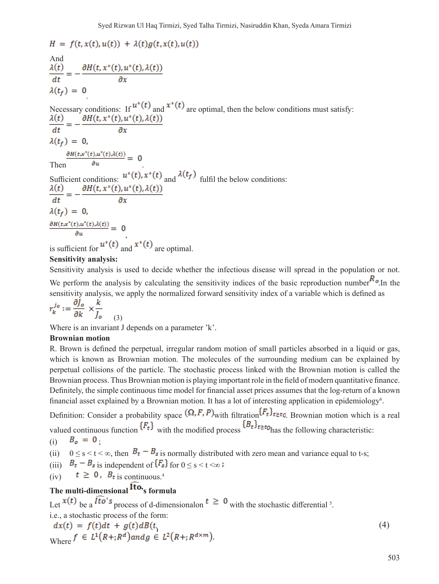$$
H = f(t, x(t), u(t)) + \lambda(t)g(t, x(t), u(t))
$$
  
And  

$$
\frac{\lambda(t)}{dt} = -\frac{\partial H(t, x^*(t), u^*(t), \lambda(t))}{\partial x}
$$
  

$$
\lambda(t_f) = 0
$$
  
Necessary conditions: If  $u^*(t)$  and  $x^*(t)$  are optimal, then the below conditions must satisfy:  

$$
\frac{\lambda(t)}{\lambda(t)} = -\frac{\partial H(t, x^*(t), u^*(t), \lambda(t))}{\partial x}
$$
  

$$
\lambda(t_f) = 0,
$$
  

$$
\frac{\partial H(t, x^*(t), u^*(t), \lambda(t))}{\partial u} = 0
$$
  
Then  $\frac{\partial u}{\partial u}$   
Sufficient conditions:  $\frac{u^*(t), x^*(t)}{\partial x}$  and  $\frac{\lambda(t_f)}{\partial x}$  fulfill the below conditions:  

$$
\frac{\lambda(t)}{\lambda(t_f)} = 0,
$$
  

$$
\lambda(t_f) = 0,
$$
  

$$
\frac{\partial H(t, x^*(t), u^*(t), \lambda(t))}{\partial u} = 0
$$
  

$$
\frac{\partial H(t, x^*(t), u^*(t), \lambda(t))}{\partial u} = 0
$$

is sufficient for  $\mathbb{C}$  and  $\mathbb{C}$  are optimal.

(3)

# **Sensitivity analysis:**

Sensitivity analysis is used to decide whether the infectious disease will spread in the population or not. We perform the analysis by calculating the sensitivity indices of the basic reproduction number  $R_{\circ}$  In the sensitivity analysis, we apply the normalized forward sensitivity index of a variable which is defined as

$$
r_k^{j_o} := \frac{\partial J_o}{\partial k} \times \frac{k}{J_o}
$$

Where is an invariant J depends on a parameter 'k'.

# **Brownian motion**

R. Brown is defined the perpetual, irregular random motion of small particles absorbed in a liquid or gas, which is known as Brownian motion. The molecules of the surrounding medium can be explained by perpetual collisions of the particle. The stochastic process linked with the Brownian motion is called the Brownian process. Thus Brownian motion is playing important role in the field of modern quantitative finance. Definitely, the simple continuous time model for financial asset prices assumes that the log-return of a known financial asset explained by a Brownian motion. It has a lot of interesting application in epidemiology<sup>6</sup>.

Definition: Consider a probability space  $(\Omega, F, P)$  with filtration  $\{F_t\}_{t \geq t_0}$ . Brownian motion which is a real valued continuous function  ${F_t}$  with the modified process  ${B_t}$   $\}$   $\in$   $\{F_t\}$  with the modified process  ${B_t}$   $\}$   $\in$   $\in$   $\{F_t\}$   $\in$   $\{F_t\}$   $\in$   $\{F_t\}$   $\in$   $\{F_t\}$   $\in$   $\{F_t\}$   $\in$   $\{F_t\}$   $\in$   $\{$ (i)  $B_o = 0$ 

(ii) 
$$
0 \le s < t < \infty
$$
, then  $B_t - B_s$  is normally distributed with zero mean and variance equal to t-s;

- (iii)  $B_t B_s$  is independent of  $\{F_s\}$  for  $0 \le s < t < \infty$
- (iv)  $t \geq 0$ ,  $B_t$  is continuous.<sup>4</sup>

# The multi-dimensional **Ito**, formula

Let  $\mathcal{L}(\mathcal{U})$  be a  $\mathcal{U}(\mathcal{U})$  is process of d-dimensionalon  $\mathcal{U}(\mathcal{U})$  with the stochastic differential <sup>5</sup>. i.e., a stochastic process of the form:

$$
dx(t) = f(t)dt + g(t)dB(t)
$$
  
Where  $f \in L^{1}(R +;R^{d})$  and  $g \in L^{2}(R +;R^{d \times m})$ .  
(4)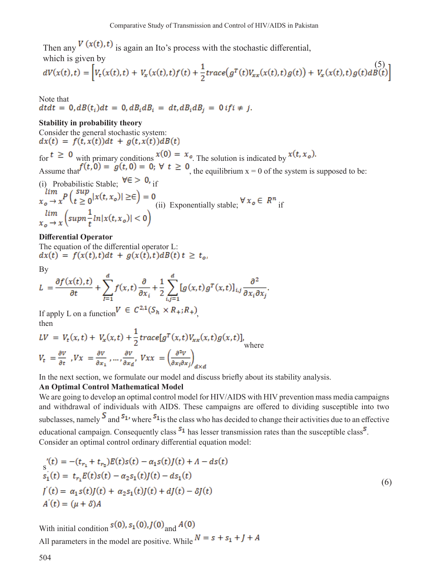Then any  $V(x(t),t)$  is again an Ito's process with the stochastic differential,

which is given by  
\n
$$
dV(x(t),t) = \left[ V_t(x(t),t) + V_x(x(t),t)f(t) + \frac{1}{2}trace(g^T(t)V_{xx}(x(t),t)g(t)) + V_x(x(t),t)g(t)dB(t) \right]
$$
\n(5)

Note that<br>  $dtdt = 0, dB(t_i)dt = 0, dB_i dB_i = dt, dB_i dB_i = 0$  if  $i \neq j$ .

### **Stability in probability theory**

Consider the general stochastic system:<br> $dx(t) = f(t, x(t))dt + g(t, x(t))dB(t)$ 

for  $t \ge 0$  with primary conditions  $x(0) = x_o$ . The solution is indicated by  $x(t, x_o)$ . Assume that  $f(t, 0) = g(t, 0) = 0$ ;  $\forall t \ge 0$ , the equilibrium  $x = 0$  of the system is supposed to be:

(i) Probabilistic Stable; 
$$
\forall \in > 0
$$
, if\n $\lim_{x_o \to x} P\left(\sup_{t \geq 0} |x(t, x_o)| \geq \in\right) = 0$ \n(ii) Exponentially stable;  $\forall x_o \in R^n$  if\n $\lim_{x_o \to x} \left(\sup_{t \geq 0} \frac{1}{t} \ln |x(t, x_o)| < 0\right)$ 

### **Differential Operator**

The equation of the differential operator L:<br>  $dx(t) = f(x(t), t)dt + g(x(t), t)dB(t) t \ge t_o$ 

By

$$
L = \frac{\partial f(x(t),t)}{\partial t} + \sum_{i=1}^{d} f(x,t) \frac{\partial}{\partial x_i} + \frac{1}{2} \sum_{i,j=1}^{d} [g(x,t)g^T(x,t)]_{i,j} \frac{\partial^2}{\partial x_i \partial x_j}.
$$

If apply L on a function  $V \in C^{2,1}(S_h \times R_+; R_+)$ then

$$
LV = V_t(x, t) + V_x(x, t) + \frac{1}{2}trace[g^T(x, t)V_{xx}(x, t)g(x, t)],
$$
  
\n
$$
V_t = \frac{\partial V}{\partial t}, Vx = \frac{\partial V}{\partial x_1}, ..., \frac{\partial V}{\partial x_d}, Vxx = \left(\frac{\partial^2 V}{\partial x_i \partial x_j}\right)_{d \times d}
$$

In the next section, we formulate our model and discuss briefly about its stability analysis.

# **An Optimal Control Mathematical Model**

We are going to develop an optimal control model for HIV/AIDS with HIV prevention mass media campaigns and withdrawal of individuals with AIDS. These campaigns are offered to dividing susceptible into two subclasses, namely  $\int$  and  $s_1$ , where  $s_1$  is the class who has decided to change their activities due to an effective educational campaign. Consequently class  $s_1$  has lesser transmission rates than the susceptible class  $\overline{s}$ . Consider an optimal control ordinary differential equation model:

$$
s'(t) = -(t_{r_1} + t_{r_2})E(t)s(t) - \alpha_1 s(t)J(t) + \Lambda - ds(t)
$$
  
\n
$$
s'_1(t) = t_{r_1}E(t)s(t) - \alpha_2 s_1(t)J(t) - ds_1(t)
$$
  
\n
$$
J'(t) = \alpha_1 s(t)J(t) + \alpha_2 s_1(t)J(t) + dJ(t) - \delta J(t)
$$
  
\n
$$
A'(t) = (\mu + \delta)A
$$
\n(6)

With initial condition  $s(0)$ ,  $s_1(0)$ ,  $J(0)$ <sub>and</sub>  $A(0)$ All parameters in the model are positive. While  $N = s + s_1 + J + A$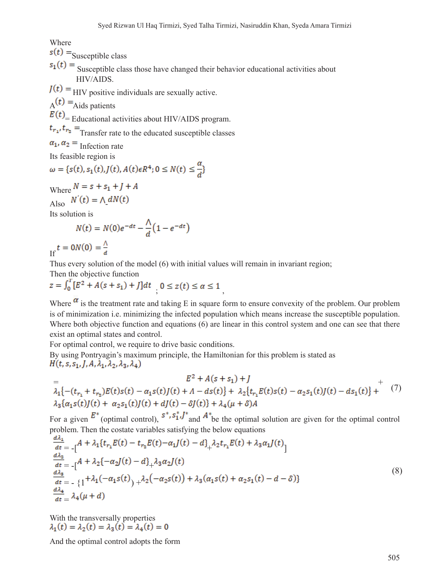Where

 $s(t) =$ Susceptible class

- $s_1(t) =$  Susceptible class those have changed their behavior educational activities about HIV/AIDS.
- $J(t) =$  HIV positive individuals are sexually active.

$$
A^{(t)} = \text{Aids patients}
$$

 $E(t)$  = Educational activities about HIV/AIDS program.

 $t_{r_1}, t_{r_2} =$ Transfer rate to the educated susceptible classes

 $\alpha_1, \alpha_2 =$  Infection rate

Its feasible region is

$$
\omega = \{s(t), s_1(t), J(t), A(t)\epsilon R^4; 0 \le N(t) \le \frac{\alpha}{d}\}
$$

Where  $N = s + s_1 + J + A$ 

Also  $N'(t) = \Lambda dN(t)$ 

Its solution is

$$
N(t) = N(0)e^{-dt} - \frac{\Lambda}{d}(1 - e^{-dt})
$$

 $t = 0N(0) = \frac{\Lambda}{a}$ 

Thus every solution of the model (6) with initial values will remain in invariant region;

Then the objective function

$$
z = \int_0^t [E^2 + A(s + s_1) + J] dt \quad 0 \le z(t) \le \alpha \le 1
$$

Where  $\alpha$  is the treatment rate and taking E in square form to ensure convexity of the problem. Our problem is of minimization i.e. minimizing the infected population which means increase the susceptible population. Where both objective function and equations (6) are linear in this control system and one can see that there exist an optimal states and control.

For optimal control, we require to drive basic conditions.

By using Pontryagin's maximum principle, the Hamiltonian for this problem is stated as  $H(t, s, s_1, J, A, \lambda_1, \lambda_2, \lambda_3, \lambda_4)$ 

$$
E^{2} + A(s + s_{1}) + J + \lambda_{1} \left\{ -(t_{r_{1}} + t_{r_{2}})E(t)s(t) - \alpha_{1}s(t)J(t) + \Lambda - ds(t) \right\} + \lambda_{2} \left\{ t_{r_{1}}E(t)s(t) - \alpha_{2}s_{1}(t)J(t) - ds_{1}(t) \right\} + (7) + \lambda_{3} \left\{ \alpha_{1}s(t)J(t) + \alpha_{2}s_{1}(t)J(t) + dJ(t) - \delta J(t) \right\} + \lambda_{4}(\mu + \delta)A
$$

For a given  $E^*$  (optimal control),  $S^*$ ,  $S_i^*$ ,  $J^*$  and  $A^*$  be the optimal solution are given for the optimal control problem. Then the costate variables satisfying the below equations

$$
\frac{d\lambda_1}{dt} = -\left[ A + \lambda_1 \{ t_{r_1} E(t) - t_{r_2} E(t) - \alpha_1 J(t) - d \}_{+} \lambda_2 t_{r_1} E(t) + \lambda_3 \alpha_1 J(t) \right]
$$
\n
$$
\frac{d\lambda_2}{dt} = -\left[ A + \lambda_2 \{ -\alpha_2 J(t) - d \}_{+} \lambda_3 \alpha_2 J(t) \right]
$$
\n
$$
\frac{d\lambda_3}{dt} = -\left\{ 1 + \lambda_1 (-\alpha_1 s(t))_{+} \lambda_2 (-\alpha_2 s(t)) + \lambda_3 (\alpha_1 s(t) + \alpha_2 s_1(t) - d - \delta) \right\}
$$
\n
$$
\frac{d\lambda_4}{dt} = \lambda_4 (\mu + d) \tag{8}
$$

With the transversally properties<br>  $\lambda_1(t) = \lambda_2(t) = \lambda_3(t) = \lambda_4(t) = 0$ 

And the optimal control adopts the form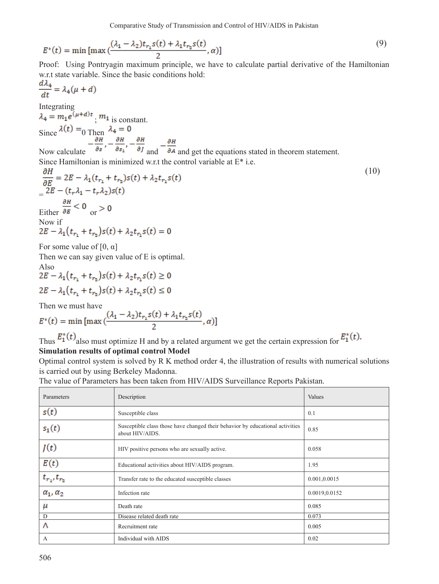$$
E^*(t) = \min \left[ \max \left( \frac{(\lambda_1 - \lambda_2) t_{r_1} s(t) + \lambda_1 t_{r_2} s(t)}{2}, a \right) \right]
$$
(9)

Proof: Using Pontryagin maximum principle, we have to calculate partial derivative of the Hamiltonian w.r.t state variable. Since the basic conditions hold:

$$
\frac{d\lambda_4}{dt} = \lambda_4(\mu + d)
$$

Integrating

 $\lambda_4 = m_1 e^{(\mu + d)t}$ ;  $m_1$  is constant. Since  $\lambda(t) = 0$  Then  $\lambda_4 = 0$ 

Now calculate  $-\frac{\partial H}{\partial s}$ ,  $-\frac{\partial H}{\partial s_1}$ ,  $-\frac{\partial H}{\partial J}$  and  $-\frac{\partial H}{\partial A}$  and get the equations stated in theorem statement. Since Hamiltonian is minimized w.r.t the control variable at  $E^*$  i.e.

$$
\frac{\partial H}{\partial E} = 2E - \lambda_1 (t_{r_1} + t_{r_2}) s(t) + \lambda_2 t_{r_1} s(t)
$$
\n
$$
= \frac{2E - (t_r \lambda_1 - t_r \lambda_2) s(t)}{\sinh(\theta)} \text{ with } \frac{\partial H}{\partial E} < 0 \text{ or } > 0
$$
\nNow if

\n
$$
2E - \lambda_1 (t_{r_1} + t_{r_2}) s(t) + \lambda_2 t_{r_1} s(t) = 0
$$
\nFor example of [0, r].

For some value of  $[0, \alpha]$ 

Then we can say given value of E is optimal.

Also  
\n
$$
2E - \lambda_1 (t_{r_1} + t_{r_2}) s(t) + \lambda_2 t_{r_1} s(t) \ge 0
$$
\n
$$
2E - \lambda_1 (t_{r_1} + t_{r_2}) s(t) + \lambda_2 t_{r_1} s(t) \le 0
$$

Then we must have

$$
E^*(t) = \min \left[ \max \left( \frac{(\lambda_1 - \lambda_2) t_{r_1} S(t) + \lambda_1 t_{r_2} S(t)}{2}, \alpha \right) \right]
$$

Thus  $E_1^*(t)$  also must optimize H and by a related argument we get the certain expression for  $E_1^*(t)$ . **Simulation results of optimal control Model**

Optimal control system is solved by R K method order 4, the illustration of results with numerical solutions is carried out by using Berkeley Madonna.

The value of Parameters has been taken from HIV/AIDS Surveillance Reports Pakistan.

| Parameters           | Description                                                                                      | Values        |
|----------------------|--------------------------------------------------------------------------------------------------|---------------|
| s(t)                 | Susceptible class                                                                                | 0.1           |
| $s_1(t)$             | Susceptible class those have changed their behavior by educational activities<br>about HIV/AIDS. | 0.85          |
| J(t)                 | HIV positive persons who are sexually active.                                                    | 0.058         |
| E(t)                 | Educational activities about HIV/AIDS program.                                                   | 1.95          |
| $t_{r_1}, t_{r_2}$   | Transfer rate to the educated susceptible classes                                                | 0.001,0.0015  |
| $\alpha_1, \alpha_2$ | Infection rate                                                                                   | 0.0019,0.0152 |
| μ                    | Death rate                                                                                       | 0.085         |
| D                    | Disease related death rate                                                                       | 0.073         |
| Λ                    | Recruitment rate                                                                                 | 0.005         |
| A                    | Individual with AIDS                                                                             | 0.02          |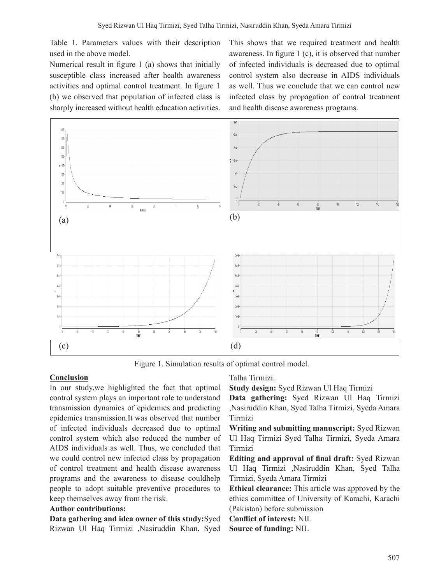Table 1. Parameters values with their description used in the above model.

Numerical result in figure 1 (a) shows that initially susceptible class increased after health awareness activities and optimal control treatment. In figure 1 (b) we observed that population of infected class is sharply increased without health education activities. This shows that we required treatment and health awareness. In figure 1 (c), it is observed that number of infected individuals is decreased due to optimal control system also decrease in AIDS individuals as well. Thus we conclude that we can control new infected class by propagation of control treatment and health disease awareness programs.



Figure 1. Simulation results of optimal control model.

### **Conclusion**

In our study,we highlighted the fact that optimal control system plays an important role to understand transmission dynamics of epidemics and predicting epidemics transmission.It was observed that number of infected individuals decreased due to optimal control system which also reduced the number of AIDS individuals as well. Thus, we concluded that we could control new infected class by propagation of control treatment and health disease awareness programs and the awareness to disease couldhelp people to adopt suitable preventive procedures to keep themselves away from the risk.

### **Author contributions:**

**Data gathering and idea owner of this study:**Syed Rizwan Ul Haq Tirmizi ,Nasiruddin Khan, Syed

### Talha Tirmizi.

**Study design:** Syed Rizwan Ul Haq Tirmizi

**Data gathering:** Syed Rizwan Ul Haq Tirmizi ,Nasiruddin Khan, Syed Talha Tirmizi, Syeda Amara Tirmizi

**Writing and submitting manuscript:** Syed Rizwan Ul Haq Tirmizi Syed Talha Tirmizi, Syeda Amara Tirmizi

**Editing and approval of final draft:** Syed Rizwan Ul Haq Tirmizi ,Nasiruddin Khan, Syed Talha Tirmizi, Syeda Amara Tirmizi

**Ethical clearance:** This article was approved by the ethics committee of University of Karachi, Karachi (Pakistan) before submission

# **Conflict of interest:** NIL

**Source of funding:** NIL